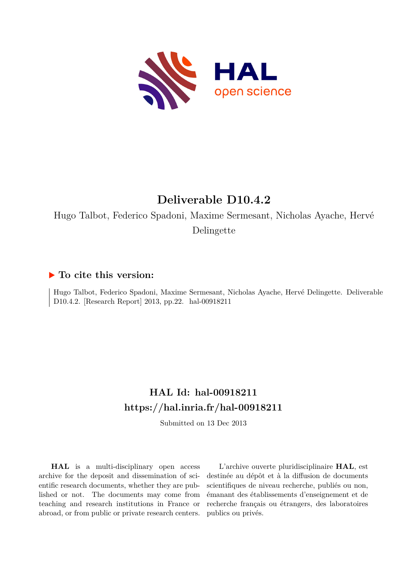

# **Deliverable D10.4.2**

Hugo Talbot, Federico Spadoni, Maxime Sermesant, Nicholas Ayache, Hervé Delingette

## **To cite this version:**

Hugo Talbot, Federico Spadoni, Maxime Sermesant, Nicholas Ayache, Hervé Delingette. Deliverable D10.4.2. [Research Report] 2013, pp.22. hal-00918211

# **HAL Id: hal-00918211 <https://hal.inria.fr/hal-00918211>**

Submitted on 13 Dec 2013

**HAL** is a multi-disciplinary open access archive for the deposit and dissemination of scientific research documents, whether they are published or not. The documents may come from teaching and research institutions in France or abroad, or from public or private research centers.

L'archive ouverte pluridisciplinaire **HAL**, est destinée au dépôt et à la diffusion de documents scientifiques de niveau recherche, publiés ou non, émanant des établissements d'enseignement et de recherche français ou étrangers, des laboratoires publics ou privés.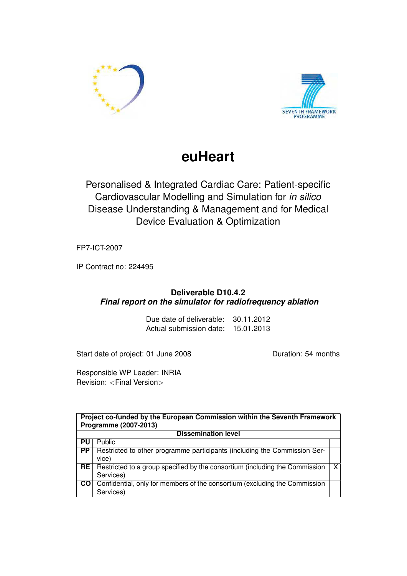



# **euHeart**

Personalised & Integrated Cardiac Care: Patient-specific Cardiovascular Modelling and Simulation for *in silico* Disease Understanding & Management and for Medical Device Evaluation & Optimization

FP7-ICT-2007

IP Contract no: 224495

## **Deliverable D10.4.2** *Final report on the simulator for radiofrequency ablation*

Due date of deliverable: 30.11.2012 Actual submission date: 15.01.2013

Start date of project: 01 June 2008 Duration: 54 months

Responsible WP Leader: INRIA Revision: <Final Version>

| Project co-funded by the European Commission within the Seventh Framework<br>Programme (2007-2013) |                                                                                          |   |  |  |
|----------------------------------------------------------------------------------------------------|------------------------------------------------------------------------------------------|---|--|--|
| <b>Dissemination level</b>                                                                         |                                                                                          |   |  |  |
| PU                                                                                                 | Public                                                                                   |   |  |  |
| <b>PP</b>                                                                                          | Restricted to other programme participants (including the Commission Ser-<br>vice)       |   |  |  |
| <b>RE</b>                                                                                          | Restricted to a group specified by the consortium (including the Commission<br>Services) | X |  |  |
| <b>CO</b>                                                                                          | Confidential, only for members of the consortium (excluding the Commission<br>Services)  |   |  |  |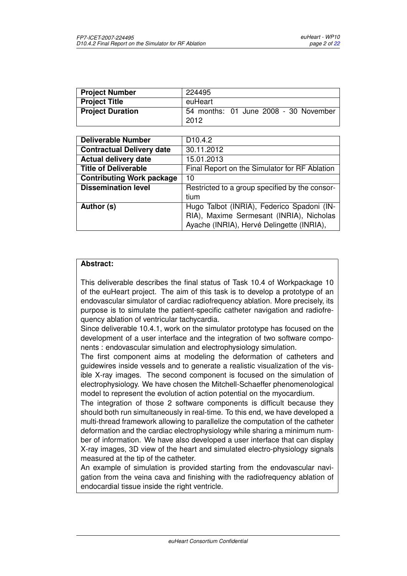| <b>Project Number</b>   | 224495                                |
|-------------------------|---------------------------------------|
| <b>Project Title</b>    | euHeart                               |
| <b>Project Duration</b> | 54 months: 01 June 2008 - 30 November |
|                         | 2012                                  |

| <b>Deliverable Number</b>        | D <sub>10.4.2</sub>                            |
|----------------------------------|------------------------------------------------|
| <b>Contractual Delivery date</b> | 30.11.2012                                     |
| <b>Actual delivery date</b>      | 15.01.2013                                     |
| <b>Title of Deliverable</b>      | Final Report on the Simulator for RF Ablation  |
| <b>Contributing Work package</b> | 10                                             |
| <b>Dissemination level</b>       | Restricted to a group specified by the consor- |
|                                  | tium                                           |
| Author (s)                       | Hugo Talbot (INRIA), Federico Spadoni (IN-     |
|                                  | RIA), Maxime Sermesant (INRIA), Nicholas       |
|                                  | Ayache (INRIA), Hervé Delingette (INRIA),      |

#### **Abstract:**

This deliverable describes the final status of Task 10.4 of Workpackage 10 of the euHeart project. The aim of this task is to develop a prototype of an endovascular simulator of cardiac radiofrequency ablation. More precisely, its purpose is to simulate the patient-specific catheter navigation and radiofrequency ablation of ventricular tachycardia.

Since deliverable 10.4.1, work on the simulator prototype has focused on the development of a user interface and the integration of two software components : endovascular simulation and electrophysiology simulation.

The first component aims at modeling the deformation of catheters and guidewires inside vessels and to generate a realistic visualization of the visible X-ray images. The second component is focused on the simulation of electrophysiology. We have chosen the Mitchell-Schaeffer phenomenological model to represent the evolution of action potential on the myocardium.

The integration of those 2 software components is difficult because they should both run simultaneously in real-time. To this end, we have developed a multi-thread framework allowing to parallelize the computation of the catheter deformation and the cardiac electrophysiology while sharing a minimum number of information. We have also developed a user interface that can display X-ray images, 3D view of the heart and simulated electro-physiology signals measured at the tip of the catheter.

An example of simulation is provided starting from the endovascular navigation from the veina cava and finishing with the radiofrequency ablation of endocardial tissue inside the right ventricle.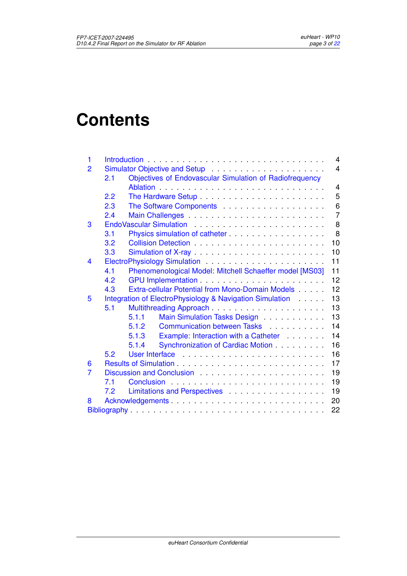# **Contents**

| 1 |     |                                                                                            | 4              |  |  |
|---|-----|--------------------------------------------------------------------------------------------|----------------|--|--|
| 2 |     |                                                                                            | $\overline{4}$ |  |  |
|   | 2.1 | Objectives of Endovascular Simulation of Radiofrequency                                    |                |  |  |
|   |     |                                                                                            | $\overline{4}$ |  |  |
|   | 2.2 | The Hardware Setup                                                                         | 5              |  |  |
|   | 2.3 |                                                                                            | 6              |  |  |
|   | 2.4 |                                                                                            | $\overline{7}$ |  |  |
| 3 |     |                                                                                            | 8              |  |  |
|   | 3.1 | Physics simulation of catheter                                                             | 8              |  |  |
|   | 3.2 |                                                                                            | 10             |  |  |
|   | 3.3 |                                                                                            | 10             |  |  |
| 4 |     |                                                                                            | 11             |  |  |
|   | 4.1 | Phenomenological Model: Mitchell Schaeffer model [MS03]                                    | 11             |  |  |
|   | 4.2 |                                                                                            | 12             |  |  |
|   | 4.3 | Extra-cellular Potential from Mono-Domain Models                                           | 12             |  |  |
| 5 |     | Integration of ElectroPhysiology & Navigation Simulation                                   | 13             |  |  |
|   | 5.1 | Multithreading Approach                                                                    | 13             |  |  |
|   |     | 5.1.1<br>Main Simulation Tasks Design                                                      | 13             |  |  |
|   |     | Communication between Tasks<br>5.1.2                                                       | 14             |  |  |
|   |     | 5.1.3<br>Example: Interaction with a Catheter <b>Example</b> : Interaction with a Catheter | 14             |  |  |
|   |     | 5.1.4<br>Synchronization of Cardiac Motion                                                 | 16             |  |  |
|   | 52  |                                                                                            | 16             |  |  |
| 6 |     |                                                                                            | 17             |  |  |
| 7 |     |                                                                                            | 19             |  |  |
|   | 7.1 | Conclusion                                                                                 | 19             |  |  |
|   | 7.2 | Limitations and Perspectives                                                               | 19             |  |  |
| 8 |     | Acknowledgements                                                                           | 20             |  |  |
|   |     |                                                                                            |                |  |  |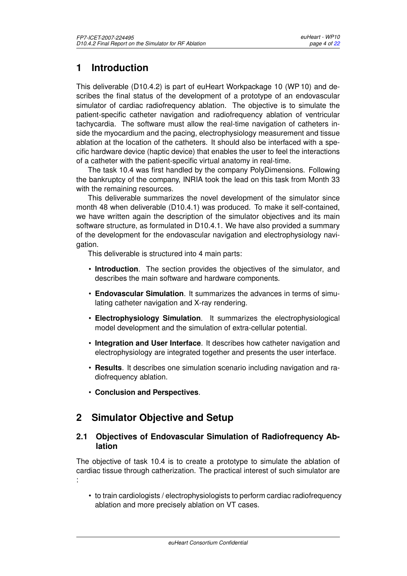# <span id="page-4-0"></span>**1 Introduction**

This deliverable (D10.4.2) is part of euHeart Workpackage 10 (WP 10) and describes the final status of the development of a prototype of an endovascular simulator of cardiac radiofrequency ablation. The objective is to simulate the patient-specific catheter navigation and radiofrequency ablation of ventricular tachycardia. The software must allow the real-time navigation of catheters inside the myocardium and the pacing, electrophysiology measurement and tissue ablation at the location of the catheters. It should also be interfaced with a specific hardware device (haptic device) that enables the user to feel the interactions of a catheter with the patient-specific virtual anatomy in real-time.

The task 10.4 was first handled by the company PolyDimensions. Following the bankruptcy of the company, INRIA took the lead on this task from Month 33 with the remaining resources.

This deliverable summarizes the novel development of the simulator since month 48 when deliverable (D10.4.1) was produced. To make it self-contained, we have written again the description of the simulator objectives and its main software structure, as formulated in D10.4.1. We have also provided a summary of the development for the endovascular navigation and electrophysiology navigation.

This deliverable is structured into 4 main parts:

- **Introduction**. The section provides the objectives of the simulator, and describes the main software and hardware components.
- **Endovascular Simulation**. It summarizes the advances in terms of simulating catheter navigation and X-ray rendering.
- **Electrophysiology Simulation**. It summarizes the electrophysiological model development and the simulation of extra-cellular potential.
- **Integration and User Interface**. It describes how catheter navigation and electrophysiology are integrated together and presents the user interface.
- **Results**. It describes one simulation scenario including navigation and radiofrequency ablation.
- **Conclusion and Perspectives**.

# <span id="page-4-1"></span>**2 Simulator Objective and Setup**

#### <span id="page-4-2"></span>**2.1 Objectives of Endovascular Simulation of Radiofrequency Ablation**

The objective of task 10.4 is to create a prototype to simulate the ablation of cardiac tissue through catherization. The practical interest of such simulator are :

• to train cardiologists / electrophysiologists to perform cardiac radiofrequency ablation and more precisely ablation on VT cases.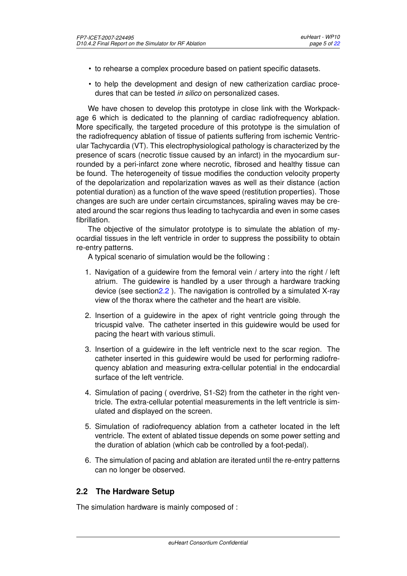- to rehearse a complex procedure based on patient specific datasets.
- to help the development and design of new catherization cardiac procedures that can be tested *in silico* on personalized cases.

We have chosen to develop this prototype in close link with the Workpackage 6 which is dedicated to the planning of cardiac radiofrequency ablation. More specifically, the targeted procedure of this prototype is the simulation of the radiofrequency ablation of tissue of patients suffering from ischemic Ventricular Tachycardia (VT). This electrophysiological pathology is characterized by the presence of scars (necrotic tissue caused by an infarct) in the myocardium surrounded by a peri-infarct zone where necrotic, fibrosed and healthy tissue can be found. The heterogeneity of tissue modifies the conduction velocity property of the depolarization and repolarization waves as well as their distance (action potential duration) as a function of the wave speed (restitution properties). Those changes are such are under certain circumstances, spiraling waves may be created around the scar regions thus leading to tachycardia and even in some cases fibrillation.

The objective of the simulator prototype is to simulate the ablation of myocardial tissues in the left ventricle in order to suppress the possibility to obtain re-entry patterns.

A typical scenario of simulation would be the following :

- 1. Navigation of a guidewire from the femoral vein / artery into the right / left atrium. The guidewire is handled by a user through a hardware tracking device (see sectio[n2.2](#page-5-0) ). The navigation is controlled by a simulated X-ray view of the thorax where the catheter and the heart are visible.
- 2. Insertion of a guidewire in the apex of right ventricle going through the tricuspid valve. The catheter inserted in this guidewire would be used for pacing the heart with various stimuli.
- 3. Insertion of a guidewire in the left ventricle next to the scar region. The catheter inserted in this guidewire would be used for performing radiofrequency ablation and measuring extra-cellular potential in the endocardial surface of the left ventricle.
- 4. Simulation of pacing ( overdrive, S1-S2) from the catheter in the right ventricle. The extra-cellular potential measurements in the left ventricle is simulated and displayed on the screen.
- 5. Simulation of radiofrequency ablation from a catheter located in the left ventricle. The extent of ablated tissue depends on some power setting and the duration of ablation (which cab be controlled by a foot-pedal).
- 6. The simulation of pacing and ablation are iterated until the re-entry patterns can no longer be observed.

### <span id="page-5-0"></span>**2.2 The Hardware Setup**

The simulation hardware is mainly composed of :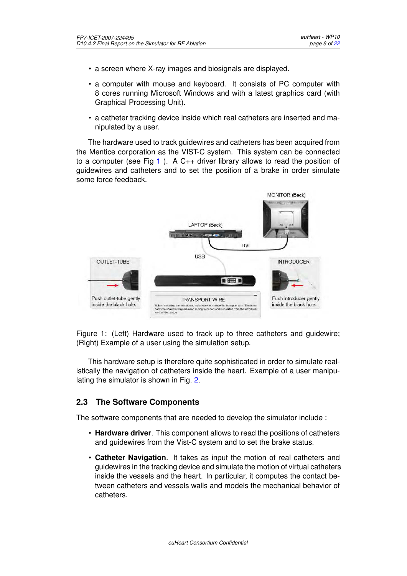- a screen where X-ray images and biosignals are displayed.
- a computer with mouse and keyboard. It consists of PC computer with 8 cores running Microsoft Windows and with a latest graphics card (with Graphical Processing Unit).
- a catheter tracking device inside which real catheters are inserted and manipulated by a user.

The hardware used to track guidewires and catheters has been acquired from the Mentice corporation as the VIST-C system. This system can be connected to a computer (see Fig [1](#page-6-1)). A  $C_{++}$  driver library allows to read the position of guidewires and catheters and to set the position of a brake in order simulate some force feedback.



<span id="page-6-1"></span>Figure 1: (Left) Hardware used to track up to three catheters and guidewire; (Right) Example of a user using the simulation setup.

This hardware setup is therefore quite sophisticated in order to simulate realistically the navigation of catheters inside the heart. Example of a user manipulating the simulator is shown in Fig. [2.](#page-7-1)

#### <span id="page-6-0"></span>**2.3 The Software Components**

The software components that are needed to develop the simulator include :

- **Hardware driver**. This component allows to read the positions of catheters and guidewires from the Vist-C system and to set the brake status.
- **Catheter Navigation**. It takes as input the motion of real catheters and guidewires in the tracking device and simulate the motion of virtual catheters inside the vessels and the heart. In particular, it computes the contact between catheters and vessels walls and models the mechanical behavior of catheters.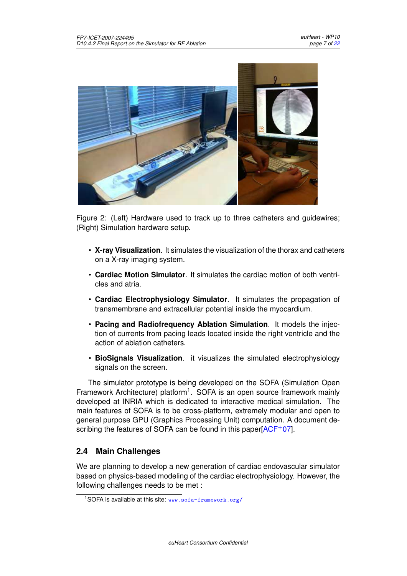

<span id="page-7-1"></span>Figure 2: (Left) Hardware used to track up to three catheters and guidewires; (Right) Simulation hardware setup.

- **X-ray Visualization**. It simulates the visualization of the thorax and catheters on a X-ray imaging system.
- **Cardiac Motion Simulator**. It simulates the cardiac motion of both ventricles and atria.
- **Cardiac Electrophysiology Simulator**. It simulates the propagation of transmembrane and extracellular potential inside the myocardium.
- **Pacing and Radiofrequency Ablation Simulation**. It models the injection of currents from pacing leads located inside the right ventricle and the action of ablation catheters.
- **BioSignals Visualization**. it visualizes the simulated electrophysiology signals on the screen.

The simulator prototype is being developed on the SOFA (Simulation Open Framework Architecture) platform<sup>1</sup>. SOFA is an open source framework mainly developed at INRIA which is dedicated to interactive medical simulation. The main features of SOFA is to be cross-platform, extremely modular and open to general purpose GPU (Graphics Processing Unit) computation. A document describing the features of SOFA can be found in this paper  $ACF+07$ .

### <span id="page-7-0"></span>**2.4 Main Challenges**

We are planning to develop a new generation of cardiac endovascular simulator based on physics-based modeling of the cardiac electrophysiology. However, the following challenges needs to be met :

<sup>&</sup>lt;sup>1</sup>SOFA is available at this site: <www.sofa-framework.org/>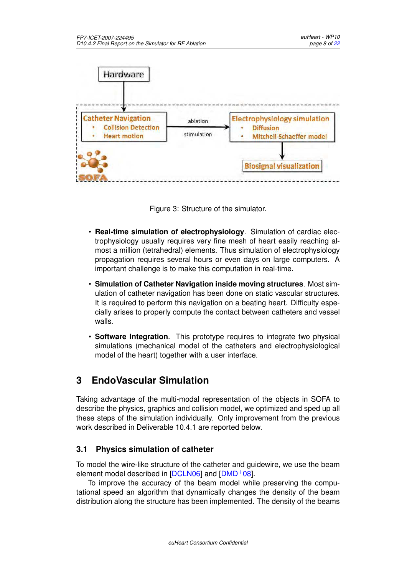

Figure 3: Structure of the simulator.

- **Real-time simulation of electrophysiology**. Simulation of cardiac electrophysiology usually requires very fine mesh of heart easily reaching almost a million (tetrahedral) elements. Thus simulation of electrophysiology propagation requires several hours or even days on large computers. A important challenge is to make this computation in real-time.
- **Simulation of Catheter Navigation inside moving structures**. Most simulation of catheter navigation has been done on static vascular structures. It is required to perform this navigation on a beating heart. Difficulty especially arises to properly compute the contact between catheters and vessel walls.
- **Software Integration**. This prototype requires to integrate two physical simulations (mechanical model of the catheters and electrophysiological model of the heart) together with a user interface.

# <span id="page-8-0"></span>**3 EndoVascular Simulation**

Taking advantage of the multi-modal representation of the objects in SOFA to describe the physics, graphics and collision model, we optimized and sped up all these steps of the simulation individually. Only improvement from the previous work described in Deliverable 10.4.1 are reported below.

## <span id="page-8-1"></span>**3.1 Physics simulation of catheter**

To model the wire-like structure of the catheter and guidewire, we use the beam element model described in  $[DCLNO6]$  and  $[DMD+08]$ .

To improve the accuracy of the beam model while preserving the computational speed an algorithm that dynamically changes the density of the beam distribution along the structure has been implemented. The density of the beams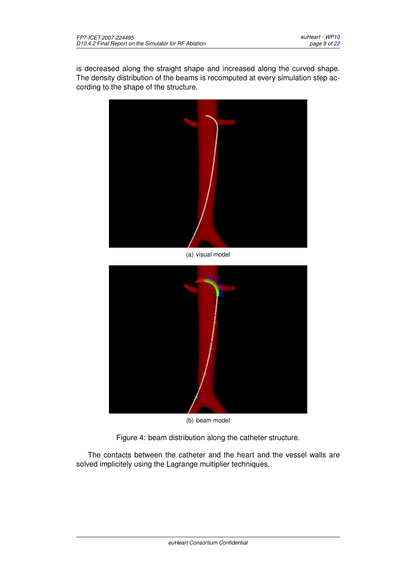is decreased along the straight shape and increased along the curved shape. The density distribution of the beams is recomputed at every simulation step according to the shape of the structure.



(a) visual model



(b) beam model

Figure 4: beam distribution along the catheter structure.

The contacts between the catheter and the heart and the vessel walls are solved implicitely using the Lagrange multiplier techniques.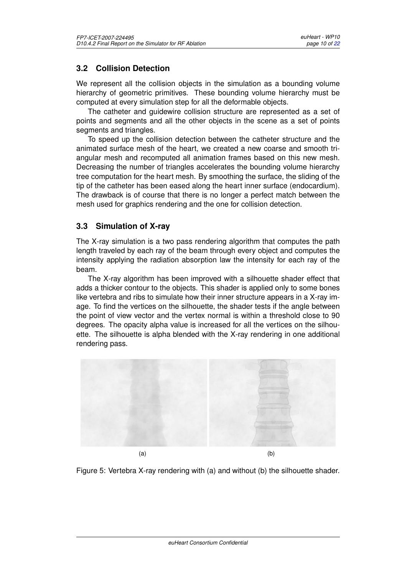## <span id="page-10-0"></span>**3.2 Collision Detection**

We represent all the collision objects in the simulation as a bounding volume hierarchy of geometric primitives. These bounding volume hierarchy must be computed at every simulation step for all the deformable objects.

The catheter and guidewire collision structure are represented as a set of points and segments and all the other objects in the scene as a set of points segments and triangles.

To speed up the collision detection between the catheter structure and the animated surface mesh of the heart, we created a new coarse and smooth triangular mesh and recomputed all animation frames based on this new mesh. Decreasing the number of triangles accelerates the bounding volume hierarchy tree computation for the heart mesh. By smoothing the surface, the sliding of the tip of the catheter has been eased along the heart inner surface (endocardium). The drawback is of course that there is no longer a perfect match between the mesh used for graphics rendering and the one for collision detection.

### <span id="page-10-1"></span>**3.3 Simulation of X-ray**

The X-ray simulation is a two pass rendering algorithm that computes the path length traveled by each ray of the beam through every object and computes the intensity applying the radiation absorption law the intensity for each ray of the beam.

The X-ray algorithm has been improved with a silhouette shader effect that adds a thicker contour to the objects. This shader is applied only to some bones like vertebra and ribs to simulate how their inner structure appears in a X-ray image. To find the vertices on the silhouette, the shader tests if the angle between the point of view vector and the vertex normal is within a threshold close to 90 degrees. The opacity alpha value is increased for all the vertices on the silhouette. The silhouette is alpha blended with the X-ray rendering in one additional rendering pass.



Figure 5: Vertebra X-ray rendering with (a) and without (b) the silhouette shader.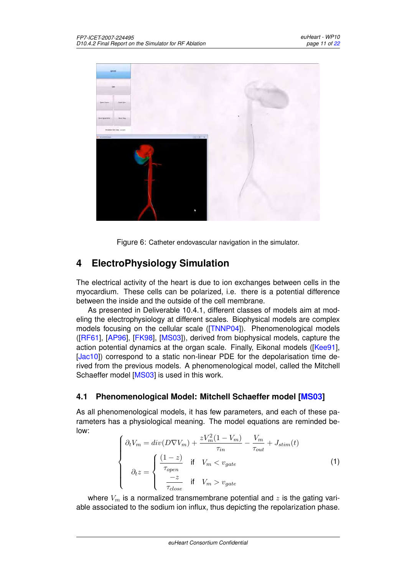

Figure 6: Catheter endovascular navigation in the simulator.

# <span id="page-11-0"></span>**4 ElectroPhysiology Simulation**

The electrical activity of the heart is due to ion exchanges between cells in the myocardium. These cells can be polarized, i.e. there is a potential difference between the inside and the outside of the cell membrane.

As presented in Deliverable 10.4.1, different classes of models aim at modeling the electrophysiology at different scales. Biophysical models are complex models focusing on the cellular scale ([\[TNNP04\]](#page-22-2)). Phenomenological models ([\[RF61\]](#page-22-3), [\[AP96\]](#page-21-4), [\[FK98\]](#page-21-5), [\[MS03\]](#page-22-1)), derived from biophysical models, capture the action potential dynamics at the organ scale. Finally, Eikonal models ([\[Kee91\]](#page-21-6), [\[Jac10\]](#page-21-7)) correspond to a static non-linear PDE for the depolarisation time derived from the previous models. A phenomenological model, called the Mitchell Schaeffer model [\[MS03\]](#page-22-1) is used in this work.

### <span id="page-11-1"></span>**4.1 Phenomenological Model: Mitchell Schaeffer model [\[MS03\]](#page-22-1)**

As all phenomenological models, it has few parameters, and each of these parameters has a physiological meaning. The model equations are reminded below:

$$
\begin{cases}\n\partial_t V_m = div(D \nabla V_m) + \frac{z V_m^2 (1 - V_m)}{\tau_{in}} - \frac{V_m}{\tau_{out}} + J_{stim}(t) \\
\partial_t z = \begin{cases}\n\frac{(1 - z)}{\tau_{open}} & \text{if} \quad V_m < v_{gate} \\
\frac{-z}{\tau_{close}} & \text{if} \quad V_m > v_{gate}\n\end{cases}\n\end{cases} \tag{1}
$$

where  $V_m$  is a normalized transmembrane potential and z is the gating variable associated to the sodium ion influx, thus depicting the repolarization phase.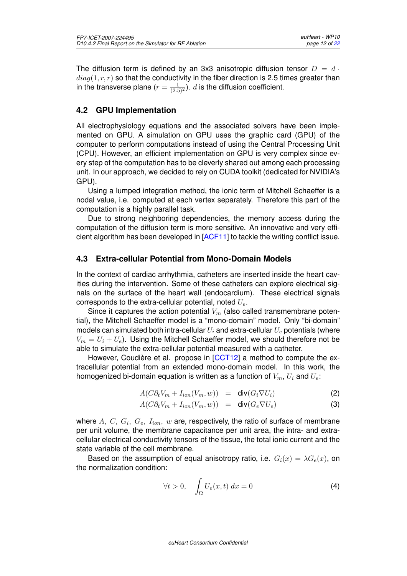The diffusion term is defined by an 3x3 anisotropic diffusion tensor  $D = d \cdot$  $diag(1, r, r)$  so that the conductivity in the fiber direction is 2.5 times greater than in the transverse plane ( $r=\frac{1}{(2.5)^2}$ ).  $d$  is the diffusion coefficient.

## <span id="page-12-0"></span>**4.2 GPU Implementation**

All electrophysiology equations and the associated solvers have been implemented on GPU. A simulation on GPU uses the graphic card (GPU) of the computer to perform computations instead of using the Central Processing Unit (CPU). However, an efficient implementation on GPU is very complex since every step of the computation has to be cleverly shared out among each processing unit. In our approach, we decided to rely on CUDA toolkit (dedicated for NVIDIA's GPU).

Using a lumped integration method, the ionic term of Mitchell Schaeffer is a nodal value, i.e. computed at each vertex separately. Therefore this part of the computation is a highly parallel task.

Due to strong neighboring dependencies, the memory access during the computation of the diffusion term is more sensitive. An innovative and very efficient algorithm has been developed in [\[ACF11\]](#page-21-8) to tackle the writing conflict issue.

### <span id="page-12-1"></span>**4.3 Extra-cellular Potential from Mono-Domain Models**

In the context of cardiac arrhythmia, catheters are inserted inside the heart cavities during the intervention. Some of these catheters can explore electrical signals on the surface of the heart wall (endocardium). These electrical signals corresponds to the extra-cellular potential, noted  $U_e$ .

Since it captures the action potential  $V_m$  (also called transmembrane potential), the Mitchell Schaeffer model is a "mono-domain" model. Only "bi-domain" models can simulated both intra-cellular  $U_i$  and extra-cellular  $U_e$  potentials (where  $V_m = U_i + U_e$ ). Using the Mitchell Schaeffer model, we should therefore not be able to simulate the extra-cellular potential measured with a catheter.

However, Coudière et al. propose in  $[CCT12]$  $[CCT12]$  a method to compute the extracellular potential from an extended mono-domain model. In this work, the homogenized bi-domain equation is written as a function of  $V_m$ ,  $U_i$  and  $U_e$ :

$$
A(C\partial_t V_m + I_{ion}(V_m, w)) = \text{div}(G_i \nabla U_i)
$$
 (2)

$$
A(C\partial_t V_m + I_{ion}(V_m, w)) = \text{div}(G_e \nabla U_e)
$$
 (3)

where  $A,~C,~G_i,~G_e,~I_{ion},~w$  are, respectively, the ratio of surface of membrane per unit volume, the membrane capacitance per unit area, the intra- and extracellular electrical conductivity tensors of the tissue, the total ionic current and the state variable of the cell membrane.

Based on the assumption of equal anisotropy ratio, i.e.  $G_i(x) = \lambda G_e(x)$ , on the normalization condition:

$$
\forall t > 0, \quad \int_{\Omega} U_e(x, t) \, dx = 0 \tag{4}
$$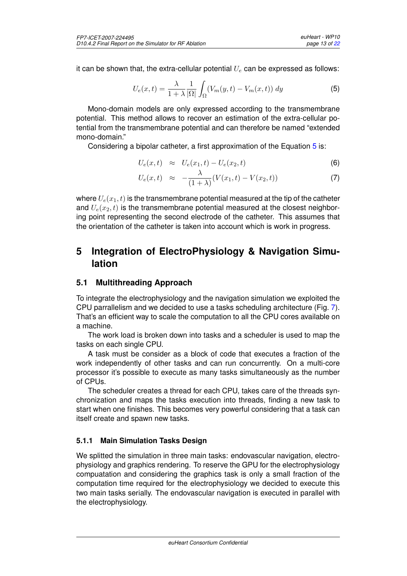it can be shown that, the extra-cellular potential  $U_e$  can be expressed as follows:

<span id="page-13-3"></span>
$$
U_e(x,t) = \frac{\lambda}{1+\lambda} \frac{1}{|\Omega|} \int_{\Omega} (V_m(y,t) - V_m(x,t)) dy
$$
\n(5)

Mono-domain models are only expressed according to the transmembrane potential. This method allows to recover an estimation of the extra-cellular potential from the transmembrane potential and can therefore be named "extended mono-domain."

Considering a bipolar catheter, a first approximation of the Equation [5](#page-13-3) is:

$$
U_e(x,t) \approx U_e(x_1,t) - U_e(x_2,t) \tag{6}
$$

$$
U_e(x,t) \approx -\frac{\lambda}{(1+\lambda)}(V(x_1,t)-V(x_2,t)) \tag{7}
$$

where  $U_e(x_1, t)$  is the transmembrane potential measured at the tip of the catheter and  $U_e(x_2, t)$  is the transmembrane potential measured at the closest neighboring point representing the second electrode of the catheter. This assumes that the orientation of the catheter is taken into account which is work in progress.

## <span id="page-13-0"></span>**5 Integration of ElectroPhysiology & Navigation Simulation**

### <span id="page-13-1"></span>**5.1 Multithreading Approach**

To integrate the electrophysiology and the navigation simulation we exploited the CPU parrallelism and we decided to use a tasks scheduling architecture (Fig. [7\)](#page-14-2). That's an efficient way to scale the computation to all the CPU cores available on a machine.

The work load is broken down into tasks and a scheduler is used to map the tasks on each single CPU.

A task must be consider as a block of code that executes a fraction of the work independently of other tasks and can run concurrently. On a multi-core processor it's possible to execute as many tasks simultaneously as the number of CPUs.

The scheduler creates a thread for each CPU, takes care of the threads synchronization and maps the tasks execution into threads, finding a new task to start when one finishes. This becomes very powerful considering that a task can itself create and spawn new tasks.

#### <span id="page-13-2"></span>**5.1.1 Main Simulation Tasks Design**

We splitted the simulation in three main tasks: endovascular navigation, electrophysiology and graphics rendering. To reserve the GPU for the electrophysiology compuatation and considering the graphics task is only a small fraction of the computation time required for the electrophysiology we decided to execute this two main tasks serially. The endovascular navigation is executed in parallel with the electrophysiology.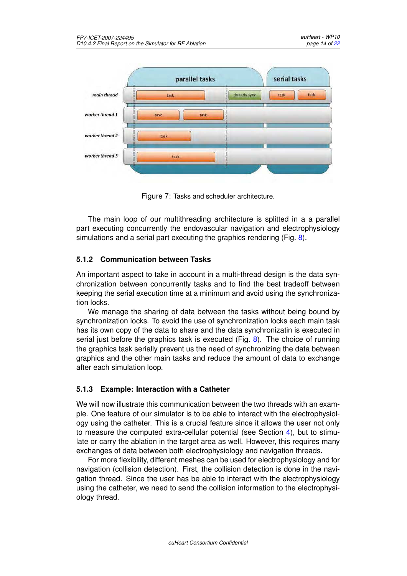

<span id="page-14-2"></span>Figure 7: Tasks and scheduler architecture.

The main loop of our multithreading architecture is splitted in a a parallel part executing concurrently the endovascular navigation and electrophysiology simulations and a serial part executing the graphics rendering (Fig. [8\)](#page-15-0).

#### <span id="page-14-0"></span>**5.1.2 Communication between Tasks**

An important aspect to take in account in a multi-thread design is the data synchronization between concurrently tasks and to find the best tradeoff between keeping the serial execution time at a minimum and avoid using the synchronization locks.

We manage the sharing of data between the tasks without being bound by synchronization locks. To avoid the use of synchronization locks each main task has its own copy of the data to share and the data synchronizatin is executed in serial just before the graphics task is executed (Fig. [8\)](#page-15-0). The choice of running the graphics task serially prevent us the need of synchronizing the data between graphics and the other main tasks and reduce the amount of data to exchange after each simulation loop.

#### <span id="page-14-1"></span>**5.1.3 Example: Interaction with a Catheter**

We will now illustrate this communication between the two threads with an example. One feature of our simulator is to be able to interact with the electrophysiology using the catheter. This is a crucial feature since it allows the user not only to measure the computed extra-cellular potential (see Section [4\)](#page-11-0), but to stimulate or carry the ablation in the target area as well. However, this requires many exchanges of data between both electrophysiology and navigation threads.

For more flexibility, different meshes can be used for electrophysiology and for navigation (collision detection). First, the collision detection is done in the navigation thread. Since the user has be able to interact with the electrophysiology using the catheter, we need to send the collision information to the electrophysiology thread.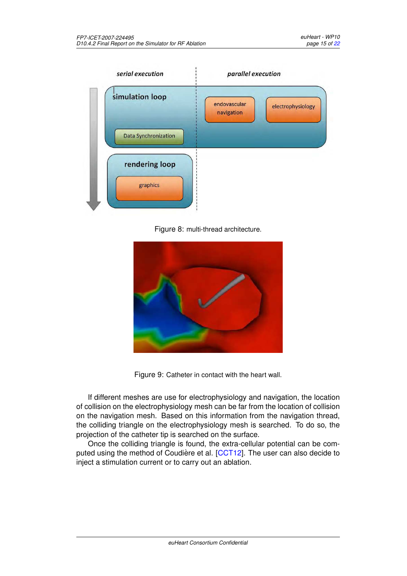

<span id="page-15-0"></span>Figure 8: multi-thread architecture.



Figure 9: Catheter in contact with the heart wall.

If different meshes are use for electrophysiology and navigation, the location of collision on the electrophysiology mesh can be far from the location of collision on the navigation mesh. Based on this information from the navigation thread, the colliding triangle on the electrophysiology mesh is searched. To do so, the projection of the catheter tip is searched on the surface.

Once the colliding triangle is found, the extra-cellular potential can be com-puted using the method of Coudière et al. [[CCT12\]](#page-21-9). The user can also decide to inject a stimulation current or to carry out an ablation.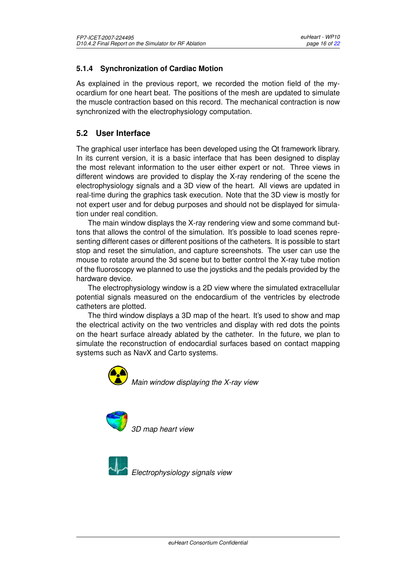#### <span id="page-16-0"></span>**5.1.4 Synchronization of Cardiac Motion**

As explained in the previous report, we recorded the motion field of the myocardium for one heart beat. The positions of the mesh are updated to simulate the muscle contraction based on this record. The mechanical contraction is now synchronized with the electrophysiology computation.

#### <span id="page-16-1"></span>**5.2 User Interface**

The graphical user interface has been developed using the Qt framework library. In its current version, it is a basic interface that has been designed to display the most relevant information to the user either expert or not. Three views in different windows are provided to display the X-ray rendering of the scene the electrophysiology signals and a 3D view of the heart. All views are updated in real-time during the graphics task execution. Note that the 3D view is mostly for not expert user and for debug purposes and should not be displayed for simulation under real condition.

The main window displays the X-ray rendering view and some command buttons that allows the control of the simulation. It's possible to load scenes representing different cases or different positions of the catheters. It is possible to start stop and reset the simulation, and capture screenshots. The user can use the mouse to rotate around the 3d scene but to better control the X-ray tube motion of the fluoroscopy we planned to use the joysticks and the pedals provided by the hardware device.

The electrophysiology window is a 2D view where the simulated extracellular potential signals measured on the endocardium of the ventricles by electrode catheters are plotted.

The third window displays a 3D map of the heart. It's used to show and map the electrical activity on the two ventricles and display with red dots the points on the heart surface already ablated by the catheter. In the future, we plan to simulate the reconstruction of endocardial surfaces based on contact mapping systems such as NavX and Carto systems.



*Main window displaying the X-ray view*



*3D map heart view*



*Electrophysiology signals view*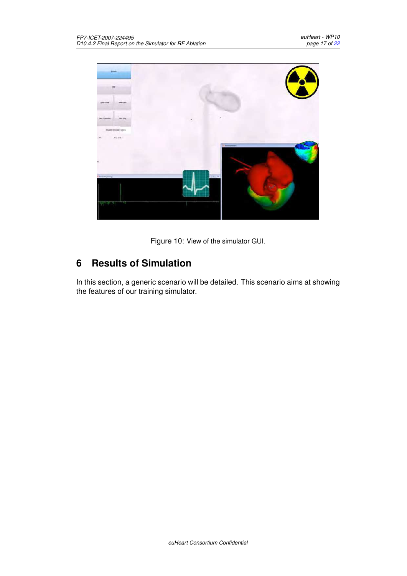

Figure 10: View of the simulator GUI.

# <span id="page-17-0"></span>**6 Results of Simulation**

In this section, a generic scenario will be detailed. This scenario aims at showing the features of our training simulator.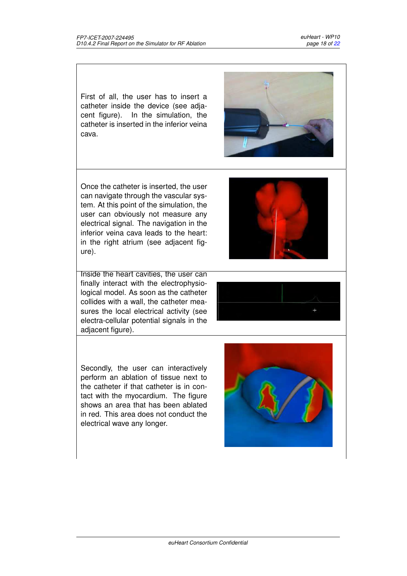First of all, the user has to insert a catheter inside the device (see adjacent figure). In the simulation, the catheter is inserted in the inferior veina cava.

Once the catheter is inserted, the user can navigate through the vascular system. At this point of the simulation, the user can obviously not measure any electrical signal. The navigation in the inferior veina cava leads to the heart: in the right atrium (see adjacent figure).

Inside the heart cavities, the user can finally interact with the electrophysiological model. As soon as the catheter collides with a wall, the catheter measures the local electrical activity (see electra-cellular potential signals in the adjacent figure).

Secondly, the user can interactively perform an ablation of tissue next to the catheter if that catheter is in contact with the myocardium. The figure shows an area that has been ablated in red. This area does not conduct the electrical wave any longer.





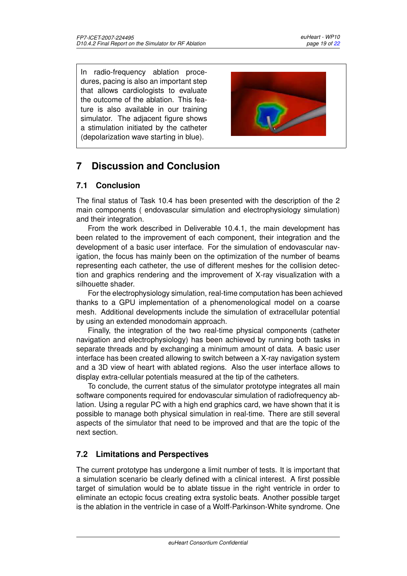In radio-frequency ablation procedures, pacing is also an important step that allows cardiologists to evaluate the outcome of the ablation. This feature is also available in our training simulator. The adjacent figure shows a stimulation initiated by the catheter (depolarization wave starting in blue).



# <span id="page-19-0"></span>**7 Discussion and Conclusion**

## <span id="page-19-1"></span>**7.1 Conclusion**

The final status of Task 10.4 has been presented with the description of the 2 main components ( endovascular simulation and electrophysiology simulation) and their integration.

From the work described in Deliverable 10.4.1, the main development has been related to the improvement of each component, their integration and the development of a basic user interface. For the simulation of endovascular navigation, the focus has mainly been on the optimization of the number of beams representing each catheter, the use of different meshes for the collision detection and graphics rendering and the improvement of X-ray visualization with a silhouette shader.

For the electrophysiology simulation, real-time computation has been achieved thanks to a GPU implementation of a phenomenological model on a coarse mesh. Additional developments include the simulation of extracellular potential by using an extended monodomain approach.

Finally, the integration of the two real-time physical components (catheter navigation and electrophysiology) has been achieved by running both tasks in separate threads and by exchanging a minimum amount of data. A basic user interface has been created allowing to switch between a X-ray navigation system and a 3D view of heart with ablated regions. Also the user interface allows to display extra-cellular potentials measured at the tip of the catheters.

To conclude, the current status of the simulator prototype integrates all main software components required for endovascular simulation of radiofrequency ablation. Using a regular PC with a high end graphics card, we have shown that it is possible to manage both physical simulation in real-time. There are still several aspects of the simulator that need to be improved and that are the topic of the next section.

## <span id="page-19-2"></span>**7.2 Limitations and Perspectives**

The current prototype has undergone a limit number of tests. It is important that a simulation scenario be clearly defined with a clinical interest. A first possible target of simulation would be to ablate tissue in the right ventricle in order to eliminate an ectopic focus creating extra systolic beats. Another possible target is the ablation in the ventricle in case of a Wolff-Parkinson-White syndrome. One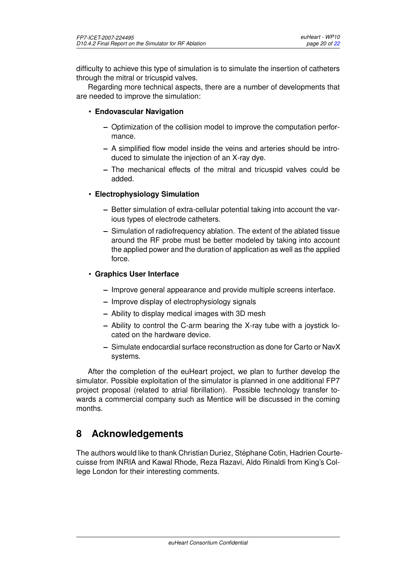difficulty to achieve this type of simulation is to simulate the insertion of catheters through the mitral or tricuspid valves.

Regarding more technical aspects, there are a number of developments that are needed to improve the simulation:

- **Endovascular Navigation**
	- **–** Optimization of the collision model to improve the computation performance.
	- **–** A simplified flow model inside the veins and arteries should be introduced to simulate the injection of an X-ray dye.
	- **–** The mechanical effects of the mitral and tricuspid valves could be added.

#### • **Electrophysiology Simulation**

- **–** Better simulation of extra-cellular potential taking into account the various types of electrode catheters.
- **–** Simulation of radiofrequency ablation. The extent of the ablated tissue around the RF probe must be better modeled by taking into account the applied power and the duration of application as well as the applied force.

#### • **Graphics User Interface**

- **–** Improve general appearance and provide multiple screens interface.
- **–** Improve display of electrophysiology signals
- **–** Ability to display medical images with 3D mesh
- **–** Ability to control the C-arm bearing the X-ray tube with a joystick located on the hardware device.
- **–** Simulate endocardial surface reconstruction as done for Carto or NavX systems.

After the completion of the euHeart project, we plan to further develop the simulator. Possible exploitation of the simulator is planned in one additional FP7 project proposal (related to atrial fibrillation). Possible technology transfer towards a commercial company such as Mentice will be discussed in the coming months.

## <span id="page-20-0"></span>**8 Acknowledgements**

The authors would like to thank Christian Duriez, Stephane Cotin, Hadrien Courte- ´ cuisse from INRIA and Kawal Rhode, Reza Razavi, Aldo Rinaldi from King's College London for their interesting comments.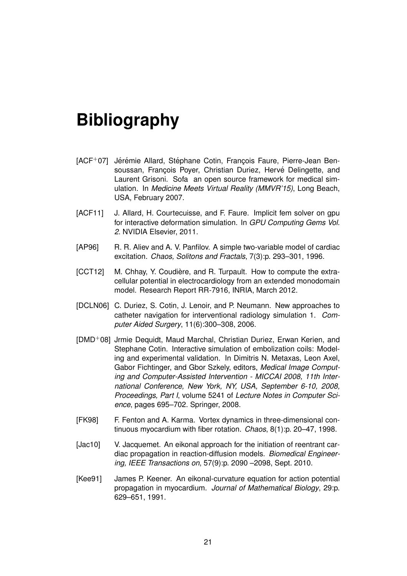# <span id="page-21-0"></span>**Bibliography**

- <span id="page-21-1"></span>[ACF+07] Jérémie Allard, Stéphane Cotin, François Faure, Pierre-Jean Bensoussan, Francois Poyer, Christian Duriez, Hervé Delingette, and Laurent Grisoni. Sofa an open source framework for medical simulation. In *Medicine Meets Virtual Reality (MMVR'15)*, Long Beach, USA, February 2007.
- <span id="page-21-8"></span>[ACF11] J. Allard, H. Courtecuisse, and F. Faure. Implicit fem solver on gpu for interactive deformation simulation. In *GPU Computing Gems Vol. 2*. NVIDIA Elsevier, 2011.
- <span id="page-21-4"></span>[AP96] R. R. Aliev and A. V. Panfilov. A simple two-variable model of cardiac excitation. *Chaos, Solitons and Fractals*, 7(3):p. 293–301, 1996.
- <span id="page-21-9"></span>[CCT12] M. Chhay, Y. Coudière, and R. Turpault. How to compute the extracellular potential in electrocardiology from an extended monodomain model. Research Report RR-7916, INRIA, March 2012.
- <span id="page-21-2"></span>[DCLN06] C. Duriez, S. Cotin, J. Lenoir, and P. Neumann. New approaches to catheter navigation for interventional radiology simulation 1. *Computer Aided Surgery*, 11(6):300–308, 2006.
- <span id="page-21-3"></span>[DMD+08] Jrmie Dequidt, Maud Marchal, Christian Duriez, Erwan Kerien, and Stephane Cotin. Interactive simulation of embolization coils: Modeling and experimental validation. In Dimitris N. Metaxas, Leon Axel, Gabor Fichtinger, and Gbor Szkely, editors, *Medical Image Computing and Computer-Assisted Intervention - MICCAI 2008, 11th International Conference, New York, NY, USA, September 6-10, 2008, Proceedings, Part I*, volume 5241 of *Lecture Notes in Computer Science*, pages 695–702. Springer, 2008.
- <span id="page-21-5"></span>[FK98] F. Fenton and A. Karma. Vortex dynamics in three-dimensional continuous myocardium with fiber rotation. *Chaos*, 8(1):p. 20–47, 1998.
- <span id="page-21-7"></span>[Jac10] V. Jacquemet. An eikonal approach for the initiation of reentrant cardiac propagation in reaction-diffusion models. *Biomedical Engineering, IEEE Transactions on*, 57(9):p. 2090 –2098, Sept. 2010.
- <span id="page-21-6"></span>[Kee91] James P. Keener. An eikonal-curvature equation for action potential propagation in myocardium. *Journal of Mathematical Biology*, 29:p. 629–651, 1991.